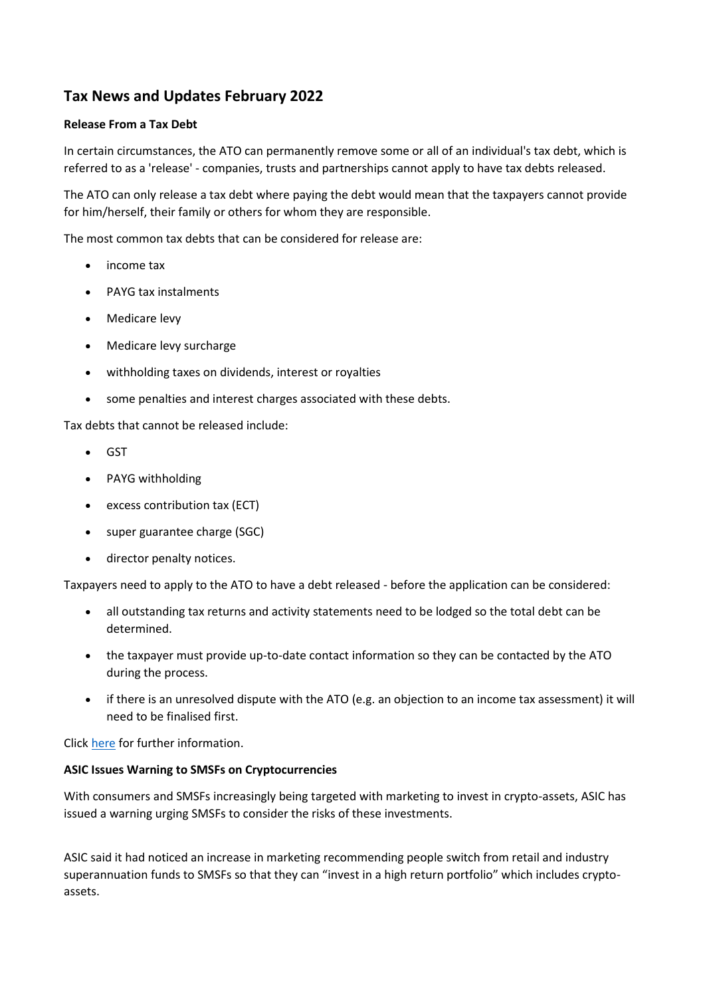# **Tax News and Updates February 2022**

#### **Release From a Tax Debt**

In certain circumstances, the ATO can permanently remove some or all of an individual's tax debt, which is referred to as a 'release' - companies, trusts and partnerships cannot apply to have tax debts released.

The ATO can only release a tax debt where paying the debt would mean that the taxpayers cannot provide for him/herself, their family or others for whom they are responsible.

The most common tax debts that can be considered for release are:

- income tax
- PAYG tax instalments
- Medicare levy
- Medicare levy surcharge
- withholding taxes on dividends, interest or royalties
- some penalties and interest charges associated with these debts.

Tax debts that cannot be released include:

- GST
- PAYG withholding
- excess contribution tax (ECT)
- super guarantee charge (SGC)
- director penalty notices.

Taxpayers need to apply to the ATO to have a debt released - before the application can be considered:

- all outstanding tax returns and activity statements need to be lodged so the total debt can be determined.
- the taxpayer must provide up-to-date contact information so they can be contacted by the ATO during the process.
- if there is an unresolved dispute with the ATO (e.g. an objection to an income tax assessment) it will need to be finalised first.

Click [here](https://www.ato.gov.au/General/Support-to-lodge-and-pay/In-detail/Release-from-your-tax-debt/) for further information.

#### **ASIC Issues Warning to SMSFs on Cryptocurrencies**

With consumers and SMSFs increasingly being targeted with marketing to invest in crypto-assets, ASIC has issued a warning urging SMSFs to consider the risks of these investments.

ASIC said it had noticed an increase in marketing recommending people switch from retail and industry superannuation funds to SMSFs so that they can "invest in a high return portfolio" which includes cryptoassets.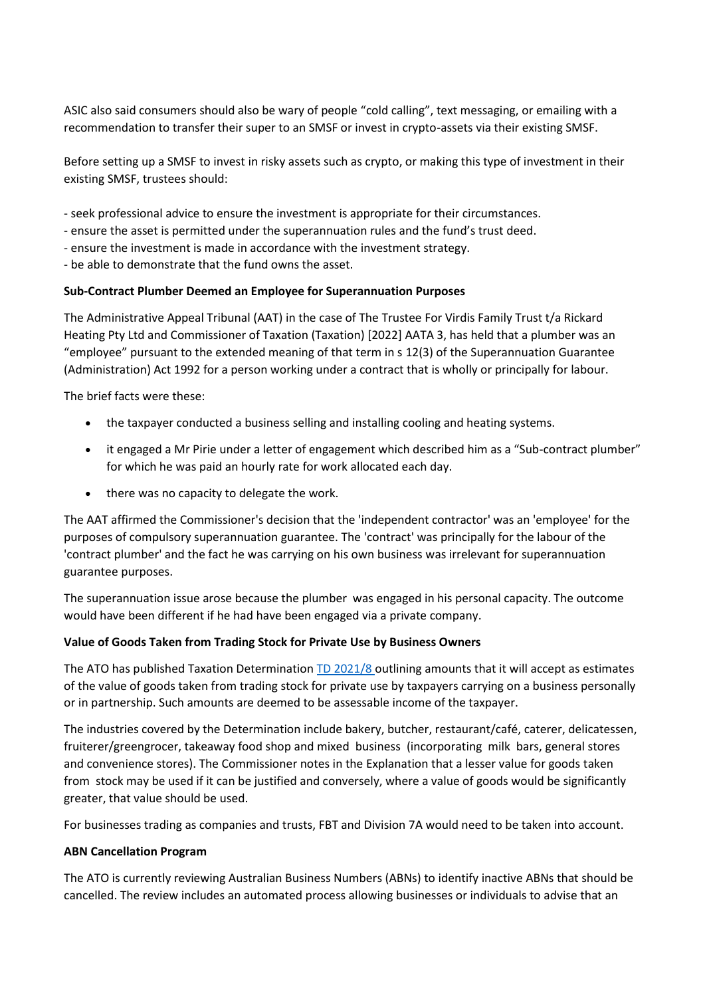ASIC also said consumers should also be wary of people "cold calling", text messaging, or emailing with a recommendation to transfer their super to an SMSF or invest in crypto-assets via their existing SMSF.

Before setting up a SMSF to invest in risky assets such as crypto, or making this type of investment in their existing SMSF, trustees should:

- seek professional advice to ensure the investment is appropriate for their circumstances.
- ensure the asset is permitted under the superannuation rules and the fund's trust deed.
- ensure the investment is made in accordance with the investment strategy.
- be able to demonstrate that the fund owns the asset.

## **Sub-Contract Plumber Deemed an Employee for Superannuation Purposes**

The Administrative Appeal Tribunal (AAT) in the case of The Trustee For Virdis Family Trust t/a Rickard Heating Pty Ltd and Commissioner of Taxation (Taxation) [2022] AATA 3, has held that a plumber was an "employee" pursuant to the extended meaning of that term in s 12(3) of the Superannuation Guarantee (Administration) Act 1992 for a person working under a contract that is wholly or principally for labour.

The brief facts were these:

- the taxpayer conducted a business selling and installing cooling and heating systems.
- it engaged a Mr Pirie under a letter of engagement which described him as a "Sub-contract plumber" for which he was paid an hourly rate for work allocated each day.
- there was no capacity to delegate the work.

The AAT affirmed the Commissioner's decision that the 'independent contractor' was an 'employee' for the purposes of compulsory superannuation guarantee. The 'contract' was principally for the labour of the 'contract plumber' and the fact he was carrying on his own business was irrelevant for superannuation guarantee purposes.

The superannuation issue arose because the plumber was engaged in his personal capacity. The outcome would have been different if he had have been engaged via a private company.

## **Value of Goods Taken from Trading Stock for Private Use by Business Owners**

The ATO has published Taxation Determination [TD 2021/8](https://www.ato.gov.au/law/view/view.htm?docid=%22TXD%2FTD20218%2FNAT%2FATO%2F00001%22&mkt_tok=OTc4LVJKQy0wMTgAAAGAv3C0bp_L28eiKg14ekJWUyili4N7r6miALTyHmBVFyK4sBKcAGbDAEaMpRUO2T5YG7rtdUAv3cI73km45cre37_vG7Y7VSFyOypV1OjEioJGyQ) outlining amounts that it will accept as estimates of the value of goods taken from trading stock for private use by taxpayers carrying on a business personally or in partnership. Such amounts are deemed to be assessable income of the taxpayer.

The industries covered by the Determination include bakery, butcher, restaurant/café, caterer, delicatessen, fruiterer/greengrocer, takeaway food shop and mixed business (incorporating milk bars, general stores and convenience stores). The Commissioner notes in the Explanation that a lesser value for goods taken from stock may be used if it can be justified and conversely, where a value of goods would be significantly greater, that value should be used.

For businesses trading as companies and trusts, FBT and Division 7A would need to be taken into account.

## **ABN Cancellation Program**

The ATO is currently reviewing Australian Business Numbers (ABNs) to identify inactive ABNs that should be cancelled. The review includes an automated process allowing businesses or individuals to advise that an